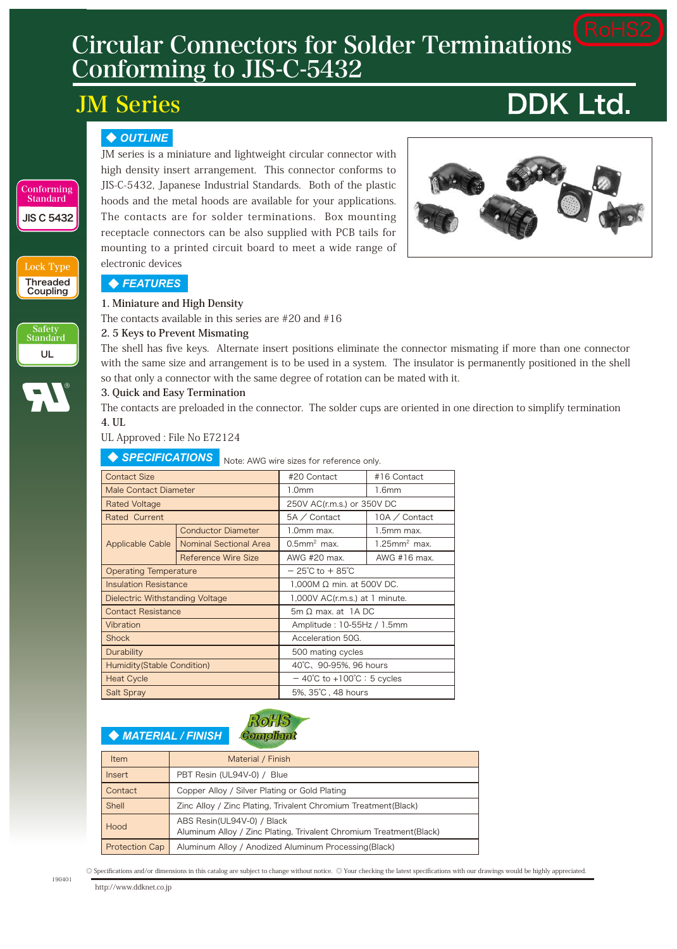# Circular Connectors for Solder Terminations Conforming to JIS-C-5432

# JM Series

# **DDK Ltd.**

#### ◆ *OUTLINE*

JM series is a miniature and lightweight circular connector with high density insert arrangement. This connector conforms to JIS-C-5432, Japanese Industrial Standards. Both of the plastic hoods and the metal hoods are available for your applications. The contacts are for solder terminations. Box mounting receptacle connectors can be also supplied with PCB tails for mounting to a printed circuit board to meet a wide range of electronic devices



◆ *FEATURES*

Lock Type **Threaded** Coupling

Safety Standard UL

JIS C 5432

Conforming **Standard** 

#### **1. Miniature and High Density**

The contacts available in this series are #20 and #16

#### **2. 5 Keys to Prevent Mismating**

The shell has five keys. Alternate insert positions eliminate the connector mismating if more than one connector with the same size and arrangement is to be used in a system. The insulator is permanently positioned in the shell so that only a connector with the same degree of rotation can be mated with it.

#### **3. Quick and Easy Termination**

The contacts are preloaded in the connector. The solder cups are oriented in one direction to simplify termination **4. UL**

UL Approved : File No E72124

| <b>SPECIFICATIONS</b><br>Note: AWG wire sizes for reference only. |                           |                                                 |                             |  |  |  |  |
|-------------------------------------------------------------------|---------------------------|-------------------------------------------------|-----------------------------|--|--|--|--|
| <b>Contact Size</b>                                               |                           | #20 Contact                                     | #16 Contact                 |  |  |  |  |
| <b>Male Contact Diameter</b>                                      |                           | 1.0 <sub>mm</sub>                               | 1.6mm                       |  |  |  |  |
| <b>Rated Voltage</b>                                              |                           | 250V AC(r.m.s.) or 350V DC                      |                             |  |  |  |  |
| Rated Current                                                     |                           | 5A / Contact                                    | 10A / Contact               |  |  |  |  |
|                                                                   | <b>Conductor Diameter</b> | 1.0mm max.                                      | 1.5mm max.                  |  |  |  |  |
| <b>Applicable Cable</b>                                           | Nominal Sectional Area    | $0.5$ mm <sup>2</sup> max.                      | $1.25$ mm <sup>2</sup> max. |  |  |  |  |
|                                                                   | Reference Wire Size       | AWG #20 max.                                    | AWG #16 max.                |  |  |  |  |
| <b>Operating Temperature</b>                                      |                           | $-25^{\circ}$ C to $+85^{\circ}$ C              |                             |  |  |  |  |
| <b>Insulation Resistance</b>                                      |                           | $1,000M$ $\Omega$ min. at 500V DC.              |                             |  |  |  |  |
| Dielectric Withstanding Voltage                                   |                           | 1,000V AC(r.m.s.) at 1 minute.                  |                             |  |  |  |  |
| <b>Contact Resistance</b>                                         |                           | $5m \Omega$ max. at 1A DC                       |                             |  |  |  |  |
| Vibration                                                         |                           | Amplitude: 10-55Hz / 1.5mm                      |                             |  |  |  |  |
| <b>Shock</b>                                                      |                           | Acceleration 50G.                               |                             |  |  |  |  |
| Durability                                                        |                           | 500 mating cycles                               |                             |  |  |  |  |
| Humidity(Stable Condition)                                        |                           | 40°C、90-95%, 96 hours                           |                             |  |  |  |  |
| <b>Heat Cycle</b>                                                 |                           | $-40^{\circ}$ C to +100 $^{\circ}$ C : 5 cycles |                             |  |  |  |  |
| <b>Salt Spray</b>                                                 |                           | 5%, 35°C, 48 hours                              |                             |  |  |  |  |

#### **Compliant Compliant** ◆ *MATERIAL / FINISH*

| Item                  | Material / Finish                                                                                 |
|-----------------------|---------------------------------------------------------------------------------------------------|
| <i>lnsert</i>         | PBT Resin (UL94V-0) / Blue                                                                        |
| Contact               | Copper Alloy / Silver Plating or Gold Plating                                                     |
| Shell                 | Zinc Alloy / Zinc Plating, Trivalent Chromium Treatment (Black)                                   |
| Hood                  | ABS Resin(UL94V-0) / Black<br>Aluminum Alloy / Zinc Plating, Trivalent Chromium Treatment (Black) |
| <b>Protection Cap</b> | Aluminum Alloy / Anodized Aluminum Processing (Black)                                             |

RoHS

RoHS

190401

◎ Specifications and/or dimensions in this catalog are subject to change without notice. ◎ Your checking the latest specifications with our drawings would be highly appreciated.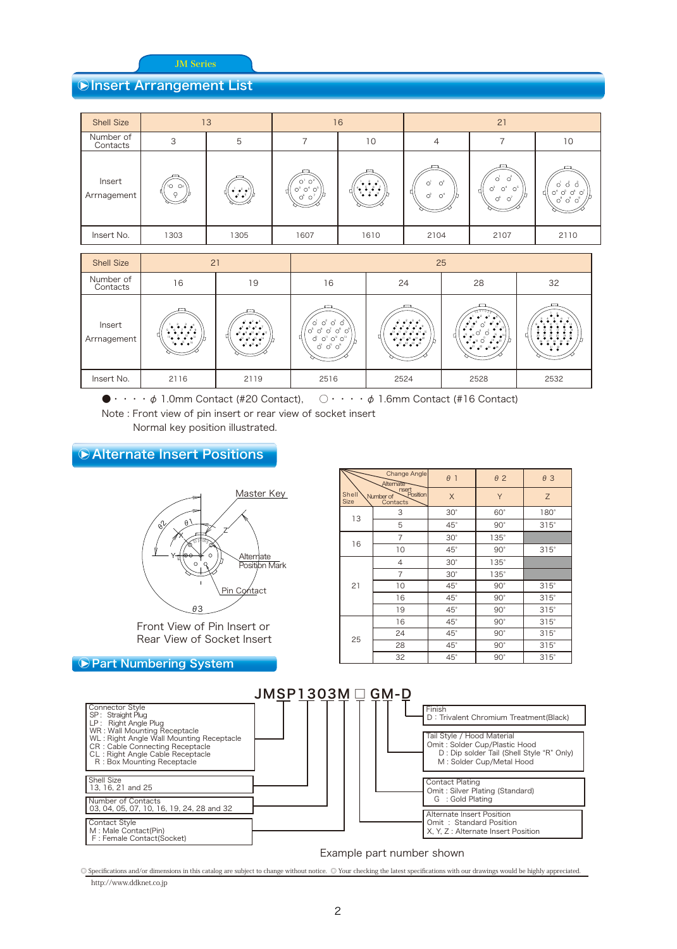θ3

#### *<b>* **Insert Arrangement List** θ3

| <b>Shell Size</b>     |                     | 13                                                                                 |                                                                                     | 21<br>16                                                                                                              |                                                                                 |                                                      |                                                 |
|-----------------------|---------------------|------------------------------------------------------------------------------------|-------------------------------------------------------------------------------------|-----------------------------------------------------------------------------------------------------------------------|---------------------------------------------------------------------------------|------------------------------------------------------|-------------------------------------------------|
| Number of<br>Contacts | 3                   | 5                                                                                  |                                                                                     | 10                                                                                                                    | 4                                                                               |                                                      | 10                                              |
| Insert<br>Arrnagement | $\overline{O}$ $Oz$ | $\bullet$ $\bullet$ <sup>2</sup> $\bullet$ <sup>3</sup><br>$\bullet^4 \bullet^5$ / | O <sup>1</sup> O <sup>2</sup><br>$O^3$ $O^4$ $O^5$<br>O <sup>6</sup> O <sup>7</sup> | $\frac{1}{2}$ , $\frac{2}{5}$ , $\frac{3}{5}$<br>$\left(\begin{smallmatrix} 0&1&0&0\ 0&0&0&0\end{smallmatrix}\right)$ | $O^{\dagger}$<br>$\circ$ <sup>2</sup><br>ч<br>$\mathcal{O}^3$<br>O <sup>4</sup> | റി<br>U,<br>$O^3$<br>$O^4$<br>$\circ$<br>$O^6$ $O^7$ | $O^4$ $O^5$ $O^6$ $O^7$<br>$O^8$ $O^9$ $O^{10}$ |
| Insert No.            | 1303                | 1305                                                                               | 1607                                                                                | 1610                                                                                                                  | 2104                                                                            | 2107                                                 | 2110                                            |

位置決めキー キー変更位置

位置決めキー キー変更位置

記号

θ3

記号

Pin Contact

θ3

| <b>Shell Size</b>     | 21                                                                                                                                                    |                                                                                                                                                                                                               | 25<br>16<br>28<br>32<br>24<br>$2^{2}$ $2^{3}$ $4^{3}$<br>$\bullet^1 \bullet^2 \bullet^3 \bullet^4$<br>$'$ o' o' o' o'<br>.<br>$\bullet$ <sup>5</sup> $\bullet$ <sup>6</sup> $\circ$ <sup>4</sup> $\bullet$ <sup>7</sup> $\bullet$ <sup>8</sup><br>8.89922<br>$\bullet^5\bullet^6\bullet^7\bullet^8\bullet^9$<br>10°0°0°0°1<br>$\begin{array}{cc} \bullet & \bullet & \bullet & \bullet \\ \bullet & \bullet & \bullet & \bullet \\ \bullet^{\mathsf{T}} & \bullet^{\mathsf{16}} & \bullet & \bullet & \bullet^{\mathsf{16}} \end{array}$<br>$\bullet^{10}$ e <sup>11</sup> e <sup>12</sup> e <sup>13</sup> e <sup>14</sup> e <sup>15</sup><br>$Q_1$ $Q_{11}$ $Q_{12}$ $Q_{13}$<br>$\bullet^{16}$ $\bullet^{17}$ $\bullet^{18}$ $\bullet^{19}$ $\bullet^{20}$<br>D |                                                       |                                                 |      |
|-----------------------|-------------------------------------------------------------------------------------------------------------------------------------------------------|---------------------------------------------------------------------------------------------------------------------------------------------------------------------------------------------------------------|-------------------------------------------------------------------------------------------------------------------------------------------------------------------------------------------------------------------------------------------------------------------------------------------------------------------------------------------------------------------------------------------------------------------------------------------------------------------------------------------------------------------------------------------------------------------------------------------------------------------------------------------------------------------------------------------------------------------------------------------------------------------|-------------------------------------------------------|-------------------------------------------------|------|
| Number of<br>Contacts | 16                                                                                                                                                    | 19                                                                                                                                                                                                            |                                                                                                                                                                                                                                                                                                                                                                                                                                                                                                                                                                                                                                                                                                                                                                   |                                                       |                                                 |      |
| Insert<br>Arrnagement | $\bullet$ , $\bullet$ , $\bullet$<br>.<br>Π<br>$\frac{1}{10}$ $\frac{1}{2}$ $\frac{1}{2}$ $\frac{1}{2}$ $\frac{1}{2}$ $\frac{1}{2}$<br>$14 - 15 - 16$ | $\bullet$ $\bullet$ <sup>2</sup> $\bullet$ <sup>3</sup><br>$4^4$ $4^5$ $4^6$ $4^7$<br>$-6^8$ $-8^9$ $-6^{10}$ $-6^{12}$<br>$-6^{2}$ $-6^{14}$ $-6^{15}$ $-6^{16}$<br>$1^{17}$ a <sup>18</sup> a <sup>19</sup> | $\overrightarrow{O}$ $\overrightarrow{O}$ $\overrightarrow{O}$                                                                                                                                                                                                                                                                                                                                                                                                                                                                                                                                                                                                                                                                                                    | $\bullet^{21} \bullet^{22} \bullet^{23} \bullet^{24}$ | $\bullet^2$ $\bullet^2$ $\bullet^3$ $\bullet^3$ |      |
| Insert No.            | 2116                                                                                                                                                  | 2119                                                                                                                                                                                                          | 2516                                                                                                                                                                                                                                                                                                                                                                                                                                                                                                                                                                                                                                                                                                                                                              | 2524                                                  | 2528                                            | 2532 |

25-28  $\bullet \cdot \cdot \cdot \cdot \phi$  1.0mm Contact (#20 Contact),  $\circlearrowright \cdot \cdot \cdot \cdot \phi$  1.6mm Contact (#16 Contact) 21-11 25-16 25-16 26-16 26-26<br>1  $21.00$ 21-10 25-16 Note : Front view of pin insert or rear view of socket insert

 $\overline{1}$   $\overline{1}$   $\overline{1}$   $\overline{1}$   $\overline{1}$   $\overline{1}$   $\overline{1}$   $\overline{1}$   $\overline{1}$   $\overline{1}$   $\overline{1}$   $\overline{1}$   $\overline{1}$   $\overline{1}$   $\overline{1}$   $\overline{1}$   $\overline{1}$   $\overline{1}$   $\overline{1}$   $\overline{1}$   $\overline{1}$   $\overline{1}$   $\overline{1}$   $\overline{1}$   $\overline{$ Normal key position illustrated.

#### **▶ Alternate Insert Positions** ir ert Po  $\mathbf{t}$  . sert Po t.



Front View of Pin Insert or Rear View of Socket Insert

#### ● Part Numbering System

|                                                                                                                                                                                                                                               | JMSPI303M |  |  |
|-----------------------------------------------------------------------------------------------------------------------------------------------------------------------------------------------------------------------------------------------|-----------|--|--|
| Connector Style<br>SP: Straight Plug<br>LP: Right Angle Plug<br>WR: Wall Mounting Receptacle<br>WL: Right Angle Wall Mounting Receptacle<br>CR: Cable Connecting Receptacle<br>CL: Right Angle Cable Receptacle<br>R: Box Mounting Receptacle |           |  |  |
| Shell Size<br>13, 16, 21 and 25                                                                                                                                                                                                               |           |  |  |
| Number of Contacts<br>03, 04, 05, 07, 10, 16, 19, 24, 28 and 32                                                                                                                                                                               |           |  |  |
| Contact Style<br>M : Male Contact(Pin)<br>F: Female Contact(Socket)                                                                                                                                                                           |           |  |  |

|                      | Change Angle<br>Alternate                  | $\theta$ 1   | $\theta$ 2   | $\theta$ 3  |
|----------------------|--------------------------------------------|--------------|--------------|-------------|
| Shell<br><b>Size</b> | nsert<br>Position<br>Number of<br>Contacts | X            | Y            | Ζ           |
| 13                   | 3                                          | $30^\circ$   | $60^\circ$   | $180^\circ$ |
|                      | 5                                          | $45^\circ$   | $90^\circ$   | $315^\circ$ |
|                      | 7                                          | $30^\circ$   | $135^\circ$  |             |
| 16                   | 10                                         | $45^{\circ}$ | $90^\circ$   | $315^\circ$ |
|                      | 4                                          | $30^\circ$   | $135^\circ$  |             |
|                      | 7                                          | $30^\circ$   | $135^\circ$  |             |
| 21                   | 10                                         | $45^{\circ}$ | $90^{\circ}$ | $315^\circ$ |
|                      | 16                                         | $45^{\circ}$ | $90^\circ$   | $315^\circ$ |
|                      | 19                                         | $45^{\circ}$ | $90^{\circ}$ | $315^\circ$ |
|                      | 16                                         | $45^{\circ}$ | $90^\circ$   | $315^\circ$ |
| 25                   | 24                                         | $45^{\circ}$ | $90^{\circ}$ | $315^\circ$ |
|                      | 28                                         | $45^{\circ}$ | $90^{\circ}$ | $315^\circ$ |
|                      | 32                                         | $45^{\circ}$ | $90^{\circ}$ | $315^\circ$ |

Position Mark

| $\square$ GM-D |                                                                                                                                      |
|----------------|--------------------------------------------------------------------------------------------------------------------------------------|
|                | Finish<br>D: Trivalent Chromium Treatment(Black)                                                                                     |
|                | Tail Style / Hood Material<br>Omit: Solder Cup/Plastic Hood<br>D: Dip solder Tail (Shell Style "R" Only)<br>M: Solder Cup/Metal Hood |
|                | <b>Contact Plating</b><br>Omit: Silver Plating (Standard)<br>G: Gold Plating                                                         |
|                | Alternate Insert Position<br>Omit: Standard Position<br>X, Y, Z : Alternate Insert Position                                          |

21-04 21-07

Example part number shown

http://www.ddknet.co.jp © Specifications and/or dimensions in this catalog are subject to change without notice. © Your checking the latest specifications with our drawings would be highly appreciated.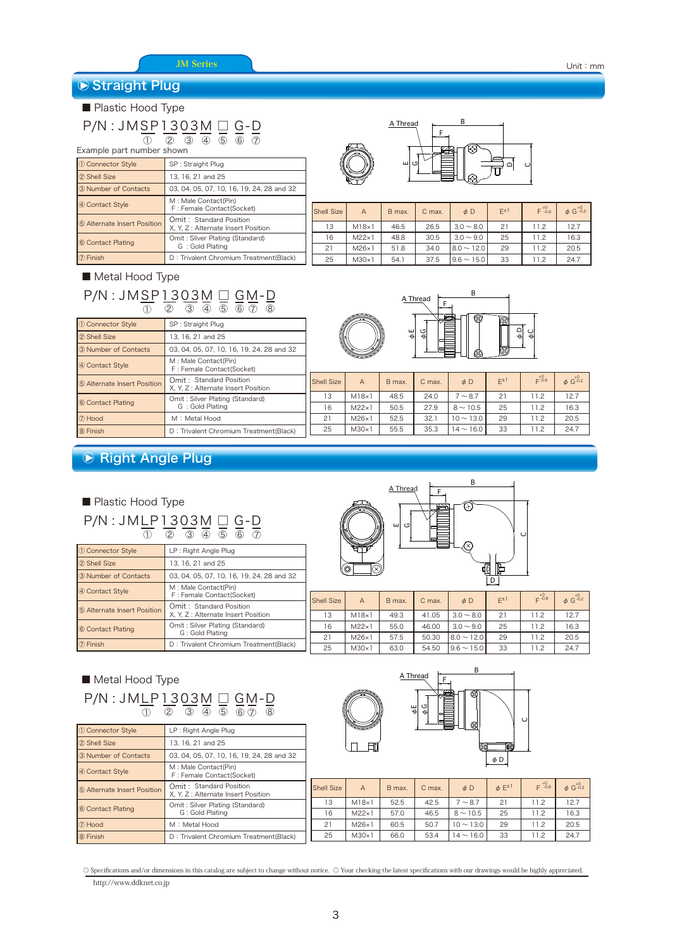## **▶ Straight Plug**

### ■ Plastic Hood Type

#### P/N : JMSP1303M □ G-D ② ③ ④ ⑤ ⑥ ① ⑦

| Example part number shown   |                                                                |  |  |  |  |
|-----------------------------|----------------------------------------------------------------|--|--|--|--|
| 10 Connector Style          | SP: Straight Plug                                              |  |  |  |  |
| 2 Shell Size                | 13, 16, 21 and 25                                              |  |  |  |  |
| 3 Number of Contacts        | 03, 04, 05, 07, 10, 16, 19, 24, 28 and 32                      |  |  |  |  |
| 4 Contact Style             | M : Male Contact(Pin)<br>F: Female Contact(Socket)             |  |  |  |  |
| 5 Alternate Insert Position | Omit: Standard Position<br>X, Y, Z : Alternate Insert Position |  |  |  |  |
| 6 Contact Plating           | Omit: Silver Plating (Standard)<br>G: Gold Plating             |  |  |  |  |
| (7) Finish                  | D: Trivalent Chromium Treatment(Black)                         |  |  |  |  |

#### ■ Metal Hood Type

#### P/N : JMSP1303M □ GM-D ② ③ ④ ⑤ ⑥ ⑦ ⑧ ①

| 10 Connector Style          | SP: Straight Plug                                              |                   |
|-----------------------------|----------------------------------------------------------------|-------------------|
| 2 Shell Size                | 13, 16, 21 and 25                                              |                   |
| 3 Number of Contacts        | 03, 04, 05, 07, 10, 16, 19, 24, 28 and 32                      |                   |
| 4 Contact Style             | M: Male Contact(Pin)<br>F: Female Contact(Socket)              |                   |
| 5 Alternate Insert Position | Omit: Standard Position<br>X. Y. Z : Alternate Insert Position | <b>Shell Size</b> |
| 6 Contact Plating           | Omit: Silver Plating (Standard)                                | 13                |
|                             | G: Gold Plating                                                | 16                |
| 7 Hood                      | M: Metal Hood                                                  | 21                |
| 8 Finish                    | D: Trivalent Chromium Treatment(Black)                         | 25                |



|    | <b>Shell Size</b> | A             | B max. | C max. | $\phi$ D         | $E^{\pm 1}$ | $F^{+0}_{-0.8}$ | $\phi$ G <sup>+0</sup> .2 |
|----|-------------------|---------------|--------|--------|------------------|-------------|-----------------|---------------------------|
|    | 13                | M18x1         | 46.5   | 26.5   | $3.0 \sim 8.0$   | 21          | 11.2            | 12.7                      |
|    | 16                | $M22\times 1$ | 48.8   | 30.5   | $3.0 \sim 9.0$   | 25          | 11.2            | 16.3                      |
|    | 21                | $M26\times 1$ | 51.8   | 34.0   | $8.0 \sim 12.0$  | 29          | 11.2            | 20.5                      |
| k) | 25                | $M30\times1$  | 54.1   | 37.5   | $19.6 \sim 15.0$ | 33          | 11.2            | 24.7                      |



|      | <b>Shell Size</b> | $\overline{A}$ | B max. | C max. | $\phi$ D       | $E^{\pm 1}$ | $E^{+0.8}$ | $\phi$ G <sup>+0</sup> .2 |
|------|-------------------|----------------|--------|--------|----------------|-------------|------------|---------------------------|
|      | 13                | M18x1          | 48.5   | 24.0   | $7 \sim 8.7$   | 21          | 11.2       | 12.7                      |
|      | 16                | $M22\times 1$  | 50.5   | 27.9   | $8 \sim 10.5$  | 25          | 11.2       | 16.3                      |
|      | 21                | $M26\times1$   | 52.5   | 32.1   | $10 \sim 13.0$ | 29          | 11.2       | 20.5                      |
| ack) | 25                | M30x1          | 55.5   | 35.3   | $14 \sim 16.0$ | 33          | 11.2       | 24.7                      |

### **▶ Right Angle Plug**

#### P/N : JMLP1303M □ G-D ■ Plastic Hood Type ② ③ ④ ⑤ ⑥ ① ⑦

| 1 Connector Style           | LP: Right Angle Plug                                           |      |
|-----------------------------|----------------------------------------------------------------|------|
| 2 Shell Size                | 13, 16, 21 and 25                                              |      |
| 3 Number of Contacts        | 03, 04, 05, 07, 10, 16, 19, 24, 28 and 32                      |      |
| 4 Contact Style             | M : Male Contact(Pin)<br>F: Female Contact(Socket)             | Shel |
| 5 Alternate Insert Position | Omit: Standard Position<br>X, Y, Z : Alternate Insert Position |      |
| 6 Contact Plating           | Omit: Silver Plating (Standard)<br>G: Gold Plating             |      |
| 7 Finish                    | D: Trivalent Chromium Treatment (Black)                        |      |



| Shell Size | $\overline{A}$ | B max. | C max. | $\phi$ D         | $E^{\pm 1}$ | $E^{+0.8}$ | $\phi$ G <sup>+0</sup> <sub>-0.2</sub> |
|------------|----------------|--------|--------|------------------|-------------|------------|----------------------------------------|
| 13         | $M18\times 1$  | 49.3   | 41.05  | $3.0 \sim 8.0$   | 21          | 11.2       | 12.7                                   |
| 16         | $M22\times 1$  | 55.0   | 46.00  | $3.0 \sim 9.0$   | 25          | 11.2       | 16.3                                   |
| 21         | $M26\times1$   | 57.5   | 50.30  | $8.0 \sim 12.0$  | 29          | 11.2       | 20.5                                   |
| 25         | $M30\times 1$  | 63.0   | 54.50  | $19.6 \sim 15.0$ | 33          | 11.2       | 24.7                                   |
|            |                |        |        |                  |             |            |                                        |

#### P/N : JMLP1303M □ GM-D ■ Metal Hood Type ② ③ ④ ⑤ ⑥ ⑦ ⑧ ①

| <b>1 Connector Style</b>    | LP : Right Angle Plug                                          |
|-----------------------------|----------------------------------------------------------------|
| 2 Shell Size                | 13. 16. 21 and 25                                              |
| 3 Number of Contacts        | 03, 04, 05, 07, 10, 16, 19, 24, 28 and 32                      |
| 4 Contact Style             | M : Male Contact(Pin)<br>F: Female Contact(Socket)             |
| 5 Alternate Insert Position | Omit: Standard Position<br>X. Y. Z : Alternate Insert Position |
| 6 Contact Plating           | Omit: Silver Plating (Standard)<br>G: Gold Plating             |
| (7) Hood                    | M : Metal Hood                                                 |
| 8 Finish                    | D: Trivalent Chromium Treatment(Black)                         |



| autrounum                       |                   |               |        |        |                        |                    |            |                           |
|---------------------------------|-------------------|---------------|--------|--------|------------------------|--------------------|------------|---------------------------|
| d Position<br>e Insert Position | <b>Shell Size</b> | A             | B max. | C max. | $\phi$ D               | $\phi$ $E^{\pm 1}$ | $E^{+0.8}$ | $\phi$ G <sup>+0</sup> .2 |
| ing (Standard)                  | 13                | $M18\times 1$ | 52.5   | 42.5   | $7 \sim 8.7$           | 21                 | 11.2       | 12.7                      |
| ng                              | 16                | $M22\times 1$ | 57.0   | 46.5   | $8 \sim 10.5$          | 25                 | 11.2       | 16.3                      |
|                                 | 21                | $M26\times 1$ | 60.5   | 50.7   | $10 \sim 13.0$         | 29                 | 11.2       | 20.5                      |
| omium Treatment(Black)          | 25                | $M30\times 1$ | 66.0   | 53.4   | 14 $\sim$ 16.0 $\vert$ | 33                 | 11.2       | 24.7                      |
|                                 |                   |               |        |        |                        |                    |            |                           |

http://www.ddknet.co.jp ◎ Specifications and/or dimensions in this catalog are subject to change without notice. ◎ Your checking the latest specifications with our drawings would be highly appreciated.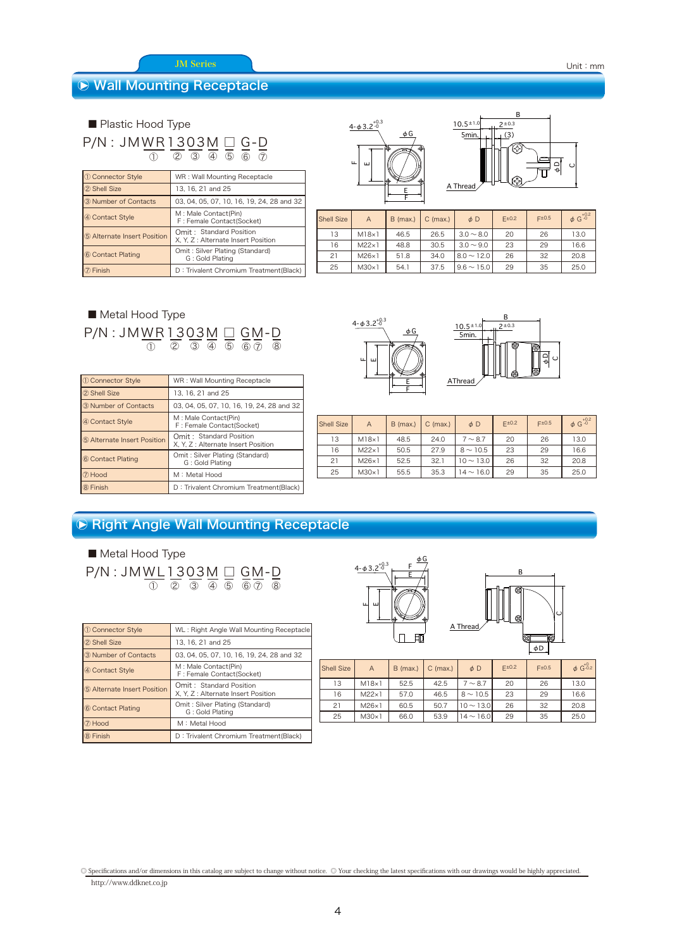#### JM Series

#### ○ Wall Mounting Receptacle

■ Plastic Hood Type

P/N : JMWR1303M □ G-D ② ③ ④ ⑤ ⑥ ① ⑦

| 10 Connector Style          | WR: Wall Mounting Receptacle                                   |
|-----------------------------|----------------------------------------------------------------|
| 2 Shell Size                | 13, 16, 21 and 25                                              |
| 3 Number of Contacts        | 03, 04, 05, 07, 10, 16, 19, 24, 28 and 32                      |
| 4 Contact Style             | M : Male Contact(Pin)<br>F: Female Contact(Socket)             |
| 5 Alternate Insert Position | Omit: Standard Position<br>X, Y, Z : Alternate Insert Position |
| 6 Contact Plating           | Omit: Silver Plating (Standard)<br>G: Gold Plating             |
| $\mathcal D$ Finish         | D: Trivalent Chromium Treatment(Black)                         |

| $\frac{4 - \phi 3.2^{+0.3}}{0}$ |  |
|---------------------------------|--|
| $\Phi$ G                        |  |
| Щ<br>ш                          |  |
| Е                               |  |



| <b>Shell Size</b> | $\overline{A}$ | $B$ (max.) | $C$ (max.) | $\phi$ D        | F±0.2 | Epm0.5 | $\phi$ G <sup>+0.2</sup> |
|-------------------|----------------|------------|------------|-----------------|-------|--------|--------------------------|
| 13                | $M18\times 1$  | 46.5       | 26.5       | $3.0 \sim 8.0$  | 20    | 26     | 13.0                     |
| 16                | $M22\times 1$  | 48.8       | 30.5       | $3.0 \sim 9.0$  | 23    | 29     | 16.6                     |
| 21                | $M26\times1$   | 51.8       | 34.0       | $8.0 \sim 12.0$ | 26    | 32     | 20.8                     |
| 25                | $M30\times1$   | 54.1       | 37.5       | $9.6 \sim 15.0$ | 29    | 35     | 25.0                     |

P/N : JMWR1303M □ GM-D ■ Metal Hood Type ② ③ ④ ⑤ ⑥ ⑦ ① ⑧

| 10 Connector Style          | WR: Wall Mounting Receptacle                                   |
|-----------------------------|----------------------------------------------------------------|
| 2 Shell Size                | 13, 16, 21 and 25                                              |
| 3 Number of Contacts        | 03, 04, 05, 07, 10, 16, 19, 24, 28 and 32                      |
| 4 Contact Style             | M: Male Contact(Pin)<br>F: Female Contact(Socket)              |
| 5 Alternate Insert Position | Omit: Standard Position<br>X. Y. Z : Alternate Insert Position |
| 6 Contact Plating           | Omit: Silver Plating (Standard)<br>G: Gold Plating             |
| 7 Hood                      | M: Metal Hood                                                  |
| 8 Finish                    | D: Trivalent Chromium Treatment(Black)                         |





| <b>Shell Size</b> | $\overline{A}$ | $B$ (max.) | $C$ (max.) | $\phi$ D       | $E^{\pm 0.2}$ | $F^{\pm 0.5}$ | $\phi$ G <sup>+0.2</sup> |
|-------------------|----------------|------------|------------|----------------|---------------|---------------|--------------------------|
| 13                | M18x1          | 48.5       | 24.0       | $7 \sim 8.7$   | 20            | 26            | 13.0                     |
| 16                | $M22\times 1$  | 50.5       | 27.9       | $8 \sim 10.5$  | 23            | 29            | 16.6                     |
| 21                | $M26\times 1$  | 52.5       | 32.1       | $10 \sim 13.0$ | 26            | 32            | 20.8                     |
| 25                | $M30\times 1$  | 55.5       | 35.3       | $14 \sim 16.0$ | 29            | 35            | 25.0                     |

### ○ Right Angle Wall Mounting Receptacle

P/N : JMWL1303M □ GM-D ■ Metal Hood Type ① ② ③ ④ ⑤ ⑥ ⑦ ⑧

| 1 Connector Style           | WL: Right Angle Wall Mounting Receptacle                       |
|-----------------------------|----------------------------------------------------------------|
| 2 Shell Size                | 13, 16, 21 and 25                                              |
| 3 Number of Contacts        | 03, 04, 05, 07, 10, 16, 19, 24, 28 and 32                      |
| 4 Contact Style             | M : Male Contact(Pin)<br>F: Female Contact(Socket)             |
| 5 Alternate Insert Position | Omit: Standard Position<br>X. Y. Z : Alternate Insert Position |
| 6 Contact Plating           | Omit: Silver Plating (Standard)<br>G: Gold Plating             |
| (7) Hood                    | M: Metal Hood                                                  |
| 8 Finish                    | D: Trivalent Chromium Treatment (Black)                        |



| <b>Shell Size</b> | $\overline{A}$ | $B$ (max.) | $C$ (max.) | $\phi$ D          | $F^{\pm}0.2$ | F±0.5 | $\phi$ G <sup>+0</sup> .2 |
|-------------------|----------------|------------|------------|-------------------|--------------|-------|---------------------------|
| 13                | M18x1          | 52.5       | 42.5       | $7 \sim 8.7$      | 20           | 26    | 13.0                      |
| 16                | $M22\times 1$  | 57.0       | 46.5       | $8 \sim 10.5$     | 23           | 29    | 16.6                      |
| 21                | $M26\times 1$  | 60.5       | 50.7       | $10 - 13.0$       | 26           | 32    | 20.8                      |
| 25                | M30x1          | 66.0       | 53.9       | $14$ $\sim$ 16.01 | 29           | 35    | 25.0                      |

http://www.ddknet.co.jp ◎ Specifications and/or dimensions in this catalog are subject to change without notice. ◎ Your checking the latest specifications with our drawings would be highly appreciated.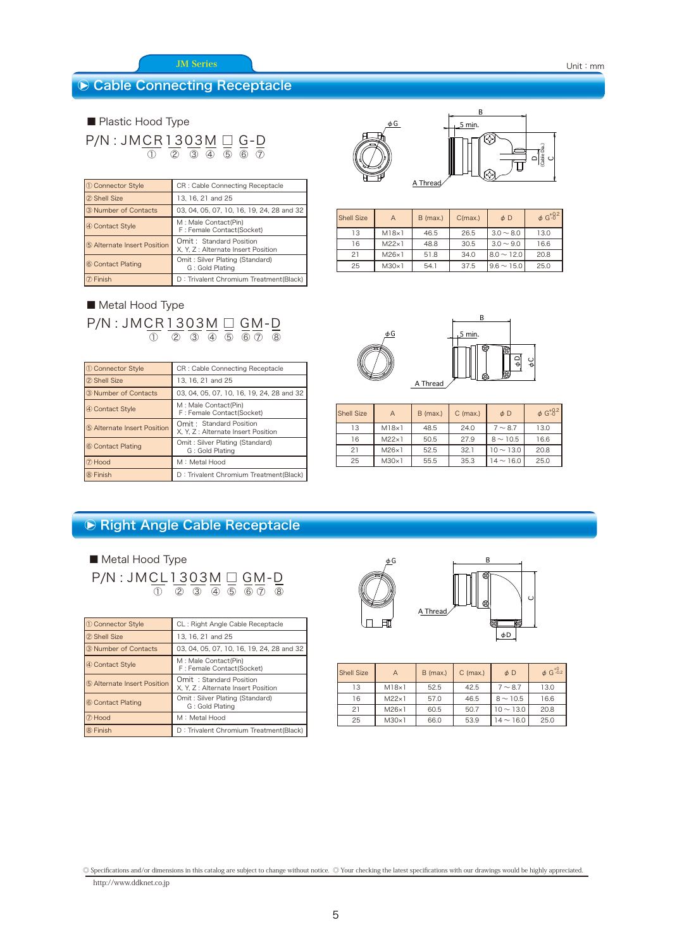#### JM Series

#### **▶ Cable Connecting Receptacle**

P/N : JMCR1303M □ G-D ■ Plastic Hood Type ② ③ ④ ⑤ ⑥ ① ⑦

| <b>1</b> Connector Style    | CR: Cable Connecting Receptacle                                |
|-----------------------------|----------------------------------------------------------------|
| 2 Shell Size                | 13, 16, 21 and 25                                              |
| 3 Number of Contacts        | 03, 04, 05, 07, 10, 16, 19, 24, 28 and 32                      |
| 4 Contact Style             | M : Male Contact(Pin)<br>F: Female Contact(Socket)             |
| 5 Alternate Insert Position | Omit: Standard Position<br>X, Y, Z : Alternate Insert Position |
| 6 Contact Plating           | Omit: Silver Plating (Standard)<br>G: Gold Plating             |
| Finish                      | D: Trivalent Chromium Treatment(Black)                         |

#### P/N : JMCR1303M □ GM-D ■ Metal Hood Type ② ③ ④ ⑤ ⑥ ⑦ ① ⑧

| 10 Connector Style          | CR: Cable Connecting Receptacle                                |
|-----------------------------|----------------------------------------------------------------|
| 2 Shell Size                | 13, 16, 21 and 25                                              |
| 3 Number of Contacts        | 03, 04, 05, 07, 10, 16, 19, 24, 28 and 32                      |
| 4 Contact Style             | M: Male Contact(Pin)<br>F: Female Contact(Socket)              |
| 5 Alternate Insert Position | Omit: Standard Position<br>X. Y. Z : Alternate Insert Position |
| 6 Contact Plating           | Omit: Silver Plating (Standard)<br>G: Gold Plating             |
| 7 Hood                      | M: Metal Hood                                                  |
| 8 Finish                    | D: Trivalent Chromium Treatment (Black)                        |



$$
\begin{array}{|c|c|} \hline \text{Hom.}\\ \hline \text{Hom.}\\ \hline \text{Hom.}\\ \hline \text{Hom.}\\ \hline \text{Hom.}\\ \hline \text{Hom.}\\ \hline \text{Hom.}\\ \hline \text{Hom.}\\ \hline \text{Hom.}\\ \hline \text{Hom.}\\ \hline \text{Hom.}\\ \hline \text{Hom.}\\ \hline \text{Hom.}\\ \hline \text{Hom.}\\ \hline \text{Hom.}\\ \hline \text{Hom.}\\ \hline \text{Hom.}\\ \hline \text{Hom.}\\ \hline \text{Hom.}\\ \hline \text{Hom.}\\ \hline \text{Hom.}\\ \hline \text{Hom.}\\ \hline \text{Hom.}\\ \hline \text{Hom.}\\ \hline \text{Hom.}\\ \hline \text{Hom.}\\ \hline \text{Hom.}\\ \hline \text{Hom.}\\ \hline \text{Hom.}\\ \hline \text{Hom.}\\ \hline \text{Hom.}\\ \hline \text{Hom.}\\ \hline \text{Hom.}\\ \hline \text{Hom.}\\ \hline \text{Hom.}\\ \hline \text{Hom.}\\ \hline \text{Hom.}\\ \hline \text{Hom.}\\ \hline \text{Hom.}\\ \hline \text{Hom.}\\ \hline \text{Hom.}\\ \hline \text{Hom.}\\ \hline \text{Hom.}\\ \hline \text{Hom.}\\ \hline \text{Hom.}\\ \hline \text{Hom.}\\ \hline \text{Hom.}\\ \hline \text{Hom.}\\ \hline \text{Hom.}\\ \hline \text{Hom.}\\ \hline \text{Hom.}\\ \hline \text{Hom.}\\ \hline \text{Hom.}\\ \hline \text{Hom.}\\ \hline \text{Hom.}\\ \hline \text{Hom.}\\ \hline \text{Hom.}\\ \hline \text{Hom.}\\ \hline \text{Hom.}\\ \hline \text{Hom.}\\ \hline \text{Hom.}\\ \hline \text{Hom.}\\ \hline \text{Hom.}\\ \hline \text{Hom.}\\ \hline \text{Hom.}\\ \hline \text{Hom.}\\ \hline \text{Hom.}\\ \hline \text{Hom.}\\ \hline \text{Hom.}\\ \hline \text{Hom.}\\ \hline \text{Hom.}\\ \hline \text{Hom.}\\ \hline \text{Hom.}\\ \hline \text{Hom.}\\ \hline \text{Hom.}\\ \hline \text{Hom.}\\ \hline \text{Hom.}\\ \hline \text{Hom.}\\ \hline \text{Hom.}\\ \hline \text{Hom.}\\ \hline \text{Hom.}\\ \hline \text{Hom.}\\ \hline \text{Hom.}\\ \h
$$

 $\overline{\phantom{0}}$ 

| <b>Shell Size</b> | A             | $B$ (max.) | C(max.) | $\phi$ D        | $\phi$ G <sup>+0.2</sup> |
|-------------------|---------------|------------|---------|-----------------|--------------------------|
| 13                | $M18\times 1$ | 46.5       | 26.5    | $3.0 \sim 8.0$  | 13.0                     |
| 16                | $M22\times 1$ | 48.8       | 30.5    | $3.0 \sim 9.0$  | 16.6                     |
| 21                | $M26\times1$  | 51.8       | 34.0    | $8.0 \sim 12.0$ | 20.8                     |
| 25                | $M30\times1$  | 54.1       | 37.5    | $9.6 \sim 15.0$ | 25.0                     |



| <b>Shell Size</b>   | A             | $C$ (max.)<br>$B$ (max.) |      | $\phi$ D       | $\phi$ G <sup>+0.2</sup> |
|---------------------|---------------|--------------------------|------|----------------|--------------------------|
| 13<br>$M18\times 1$ |               | 48.5                     | 24.0 | $7 \sim 8.7$   | 13.0                     |
| 16                  | $M22\times 1$ | 50.5                     | 27.9 | $8 \sim 10.5$  | 16.6                     |
| 21                  | $M26\times 1$ |                          | 32.1 | $10 \sim 13.0$ | 20.8                     |
| 25                  | $M30\times 1$ | 55.5                     | 35.3 | $14 \sim 16.0$ | 25.0                     |

# ○ Right Angle Cable Receptacle

■ Metal Hood Type

| $P/N$ : JMCL1303M $\Box$ GM-D |  |  |                                                 |  |
|-------------------------------|--|--|-------------------------------------------------|--|
|                               |  |  | $(1)$ $(2)$ $(3)$ $(4)$ $(5)$ $(6)$ $(7)$ $(8)$ |  |

| 10 Connector Style          | CL: Right Angle Cable Receptacle                               |
|-----------------------------|----------------------------------------------------------------|
| 2 Shell Size                | 13, 16, 21 and 25                                              |
| 3 Number of Contacts        | 03, 04, 05, 07, 10, 16, 19, 24, 28 and 32                      |
| 4 Contact Style             | M: Male Contact(Pin)<br>F: Female Contact(Socket)              |
| 5 Alternate Insert Position | Omit: Standard Position<br>X, Y, Z : Alternate Insert Position |
| 6 Contact Plating           | Omit: Silver Plating (Standard)<br>G: Gold Plating             |
| 7 Hood                      | M: Metal Hood                                                  |
| 8 Finish                    | D: Trivalent Chromium Treatment(Black)                         |



| <b>Shell Size</b> | A             | $B$ (max.) | $C$ (max.) | $\phi$ D       | $\phi$ G <sup>+0</sup> .2 |
|-------------------|---------------|------------|------------|----------------|---------------------------|
| 13                | $M18\times 1$ | 52.5       | 42.5       | $7 \sim 8.7$   | 13.0                      |
| 16                | $M22\times 1$ | 57.0       | 46.5       | $8 \sim 10.5$  | 16.6                      |
| 21                | $M26\times1$  | 60.5       | 50.7       | $10 \sim 13.0$ | 20.8                      |
| 25                | $M30\times 1$ | 66.0       | 53.9       | $14 \sim 16.0$ | 25.0                      |

http://www.ddknet.co.jp ◎ Specifications and/or dimensions in this catalog are subject to change without notice. ◎ Your checking the latest specifications with our drawings would be highly appreciated.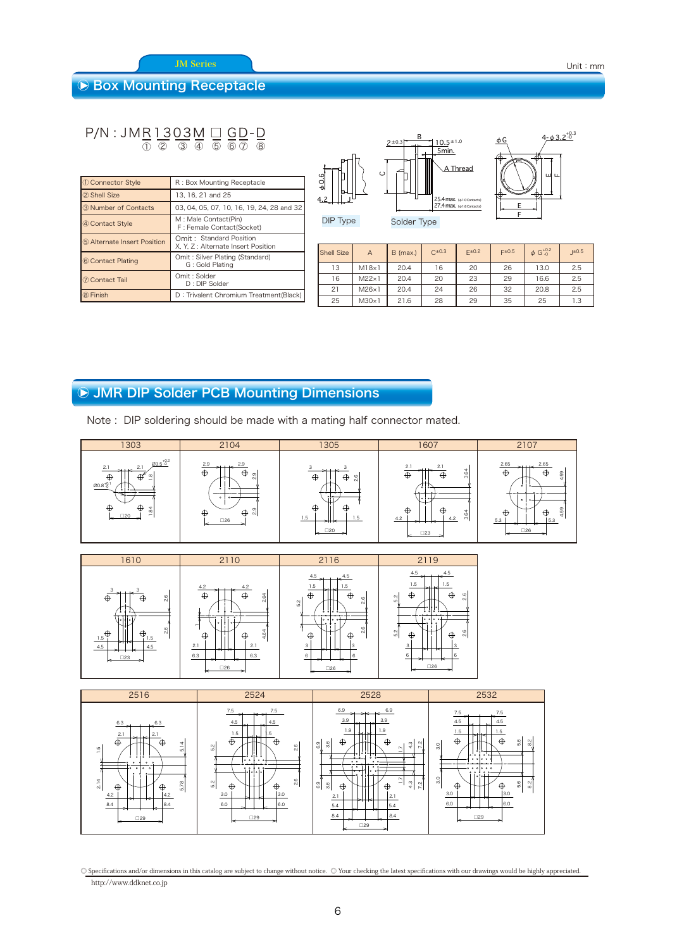JM Series

#### **▶ Box Mounting Receptacle**

#### P/N : JMR1303M □ GD-D ② ③ ④ ⑤ ⑥ ⑦ ① ⑧

| 1 Connector Style           | R: Box Mounting Receptacle                                     |
|-----------------------------|----------------------------------------------------------------|
| 2 Shell Size                | 13, 16, 21 and 25                                              |
| 3 Number of Contacts        | 03, 04, 05, 07, 10, 16, 19, 24, 28 and 32                      |
| 4 Contact Style             | M : Male Contact(Pin)<br>F: Female Contact(Socket)             |
| 5 Alternate Insert Position | Omit: Standard Position<br>X, Y, Z : Alternate Insert Position |
| 6 Contact Plating           | Omit: Silver Plating (Standard)<br>G: Gold Plating             |
| 7 Contact Tail              | Omit: Solder<br>$D: DIP$ Solder                                |
| 8 Finish                    | D: Trivalent Chromium Treatment(Black)                         |

| 60.6<br>Ħ.<br>4.2 | в<br>$10.5 \pm 1.0$<br>$2 \pm 0.3$<br>5min.<br>A Thread<br>O<br>25.4 max. (\$1.0 Contacts)<br>27.4 max. (\$1.6 Contacts) | $4 - \phi 3.2^{+0.3}_{-0}$<br>φG<br>ш<br>$\mathbf{H}$ |
|-------------------|--------------------------------------------------------------------------------------------------------------------------|-------------------------------------------------------|
| DIP Type          | Solder Type                                                                                                              |                                                       |

| ′ туре | <b>Sc</b> |
|--------|-----------|
|        |           |

| <b>Shell Size</b> | $\overline{A}$ | $B$ (max.) | $C^{\pm 0.3}$ | $F^{\pm}0.2$ | F±0.5 | $\phi$ G <sup>+0.2</sup> | ±0.5 |
|-------------------|----------------|------------|---------------|--------------|-------|--------------------------|------|
| 13                | M18x1          | 20.4       | 16            | 20           | 26    | 13.0                     | 2.5  |
| 16                | $M22\times 1$  | 20.4       | 20            | 23           | 29    | 16.6                     | 2.5  |
| 21                | $M26\times 1$  | 20.4       | 24            | 26           | 32    | 20.8                     | 2.5  |
| 25                | $M30\times 1$  | 21.6       | 28            | 29           | 35    | 25                       | 1.3  |

# ○ JMR DIP Solder PCB Mounting Dimensions

Note : DIP soldering should be made with a mating half connector mated.







http://www.ddknet.co.jp ◎ Specifications and/or dimensions in this catalog are subject to change without notice. ◎ Your checking the latest specifications with our drawings would be highly appreciated.